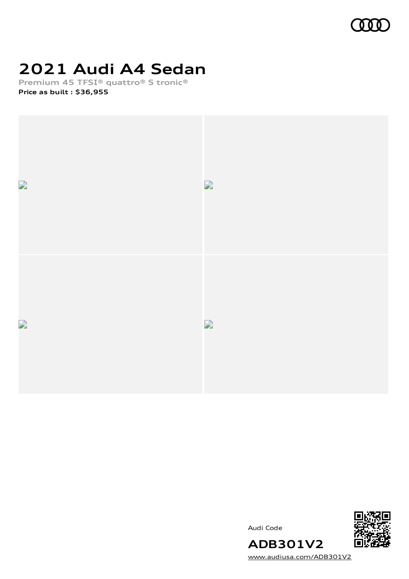

## **2021 Audi A4 Sedan**

**Premium 45 TFSI® quattro® S tronic® Price as built [:](#page-10-0) \$36,955**



Audi Code



[www.audiusa.com/ADB301V2](https://www.audiusa.com/ADB301V2)

**ADB301V2**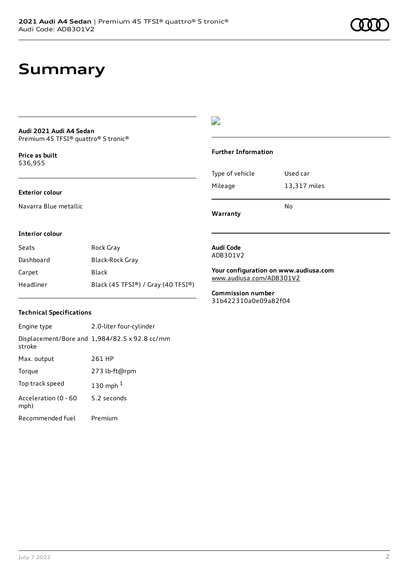## **Summary**

#### **Audi 2021 Audi A4 Sedan** Premium 45 TFSI® quattro® S tronic®

**Price as buil[t](#page-10-0)** \$36,955

#### **Exterior colour**

Navarra Blue metallic

## $\overline{\phantom{a}}$

## **Further Information**

|                 | No           |
|-----------------|--------------|
| Mileage         | 13,317 miles |
| Type of vehicle | Used car     |

**Warranty**

#### **Interior colour**

| Seats     | Rock Gray                          |
|-----------|------------------------------------|
| Dashboard | Black-Rock Gray                    |
| Carpet    | Black                              |
| Headliner | Black (45 TFSI®) / Gray (40 TFSI®) |

#### **Audi Code** ADB301V2

**Your configuration on www.audiusa.com** [www.audiusa.com/ADB301V2](https://www.audiusa.com/ADB301V2)

**Commission number** 31b422310a0e09a82f04

## **Technical Specifications**

| Engine type                  | 2.0-liter four-cylinder                       |
|------------------------------|-----------------------------------------------|
| stroke                       | Displacement/Bore and 1,984/82.5 x 92.8 cc/mm |
| Max. output                  | 261 HP                                        |
| Torque                       | 273 lb-ft@rpm                                 |
| Top track speed              | 130 mph $1$                                   |
| Acceleration (0 - 60<br>mph) | 5.2 seconds                                   |
| Recommended fuel             | Premium                                       |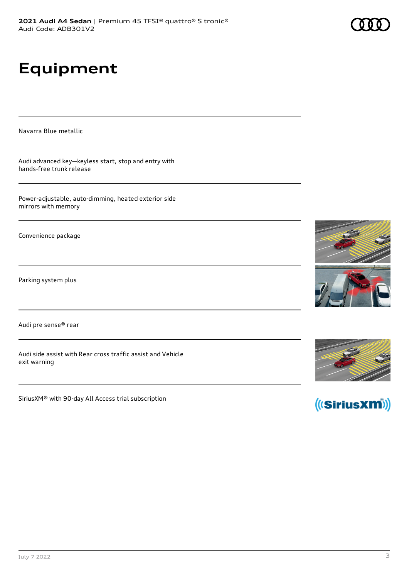# **Equipment**

Navarra Blue metallic

Audi advanced key—keyless start, stop and entry with hands-free trunk release

Power-adjustable, auto-dimming, heated exterior side mirrors with memory

Convenience package

Parking system plus

Audi pre sense® rear

Audi side assist with Rear cross traffic assist and Vehicle exit warning

SiriusXM® with 90-day All Access trial subscription







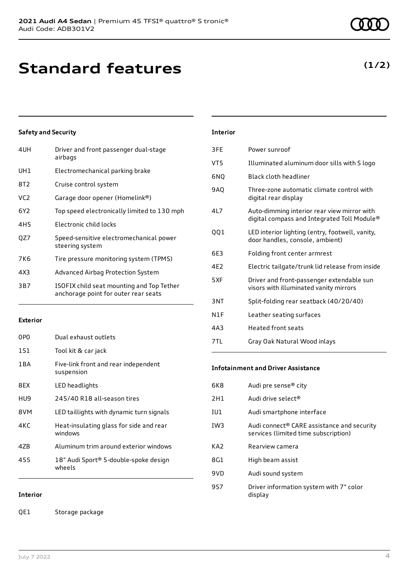| 4UH             | Driver and front passenger dual-stage<br>airbags                                  |
|-----------------|-----------------------------------------------------------------------------------|
| UH1             | Electromechanical parking brake                                                   |
| 8T2             | Cruise control system                                                             |
| VC <sub>2</sub> | Garage door opener (Homelink®)                                                    |
| 6Y2             | Top speed electronically limited to 130 mph                                       |
| 4H <sub>5</sub> | Electronic child locks                                                            |
| QZ7             | Speed-sensitive electromechanical power<br>steering system                        |
| 7K6             | Tire pressure monitoring system (TPMS)                                            |
| 4X3             | Advanced Airbag Protection System                                                 |
| 3B7             | ISOFIX child seat mounting and Top Tether<br>anchorage point for outer rear seats |

## **Exterior**

| 0PO   | Dual exhaust outlets                               |
|-------|----------------------------------------------------|
| 1S1   | Tool kit & car jack                                |
| 1 B A | Five-link front and rear independent<br>suspension |
| 8FX   | LED headlights                                     |
| HU9   | 245/40 R18 all-season tires                        |
| 8VM   | LED taillights with dynamic turn signals           |
| 4KC   | Heat-insulating glass for side and rear<br>windows |
| 47B   | Aluminum trim around exterior windows              |
| 45S   | 18" Audi Sport® 5-double-spoke design<br>wheels    |

## **Interior**

QE1 Storage package

| <b>Interior</b> |
|-----------------|
|-----------------|

| 3FE | Power sunroof                                                                              |
|-----|--------------------------------------------------------------------------------------------|
| VT5 | Illuminated aluminum door sills with S logo                                                |
| 6NQ | Black cloth headliner                                                                      |
| 9AQ | Three-zone automatic climate control with<br>digital rear display                          |
| 4L7 | Auto-dimming interior rear view mirror with<br>digital compass and Integrated Toll Module® |
| QQ1 | LED interior lighting (entry, footwell, vanity,<br>door handles, console, ambient)         |
| 6E3 | Folding front center armrest                                                               |
| 4E2 | Electric tailgate/trunk lid release from inside                                            |
| 5XF | Driver and front-passenger extendable sun<br>visors with illuminated vanity mirrors        |
| 3NT | Split-folding rear seatback (40/20/40)                                                     |
| N1F | Leather seating surfaces                                                                   |
| 4A3 | <b>Heated front seats</b>                                                                  |
| 7TL | Gray Oak Natural Wood inlays                                                               |

#### **Infotainment and Driver Assistance**

| 6K8             | Audi pre sense <sup>®</sup> city                                                               |
|-----------------|------------------------------------------------------------------------------------------------|
| 2H1             | Audi drive select <sup>®</sup>                                                                 |
| IU1             | Audi smartphone interface                                                                      |
| IW <sub>3</sub> | Audi connect <sup>®</sup> CARE assistance and security<br>services (limited time subscription) |
| KA <sub>2</sub> | Rearview camera                                                                                |
| 8G1             | High beam assist                                                                               |
| 9VD             | Audi sound system                                                                              |
| 9S7             | Driver information system with 7" color<br>display                                             |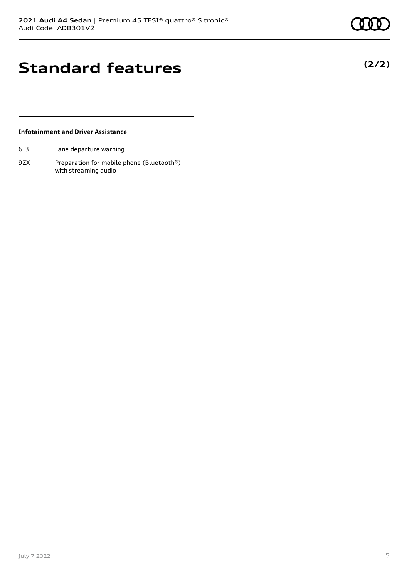**(2/2)**

## **Standard features**

## **Infotainment and Driver Assistance**

- 6I3 Lane departure warning
- 9ZX Preparation for mobile phone (Bluetooth®) with streaming audio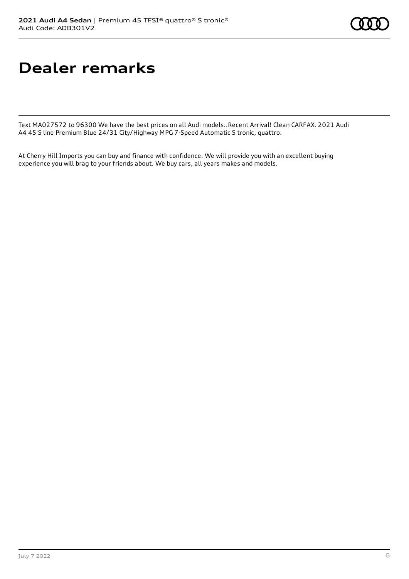## **Dealer remarks**

Text MA027572 to 96300 We have the best prices on all Audi models..Recent Arrival! Clean CARFAX. 2021 Audi A4 45 S line Premium Blue 24/31 City/Highway MPG 7-Speed Automatic S tronic, quattro.

At Cherry Hill Imports you can buy and finance with confidence. We will provide you with an excellent buying experience you will brag to your friends about. We buy cars, all years makes and models.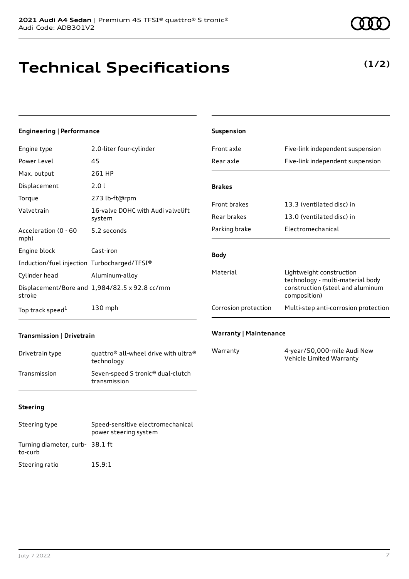**Technical Specifications**

#### Acceleration (0 - 60 mph) 5.2 seconds

**Engineering | Performance**

Power Level 45

Max. output 261 HP Displacement 2.0 l

Torque 273 lb-ft@rpm

Engine type 2.0-liter four-cylinder

| Engine block                                | Cast-iron                                     |
|---------------------------------------------|-----------------------------------------------|
| Induction/fuel injection Turbocharged/TFSI® |                                               |
| Cylinder head                               | Aluminum-alloy                                |
| stroke                                      | Displacement/Bore and 1,984/82.5 x 92.8 cc/mm |
| Top track speed <sup>1</sup>                | $130$ mph                                     |

Valvetrain 16-valve DOHC with Audi valvelift system

| Front axle           | Five-link independent suspension                                                                                 |
|----------------------|------------------------------------------------------------------------------------------------------------------|
| Rear axle            | Five-link independent suspension                                                                                 |
|                      |                                                                                                                  |
| <b>Brakes</b>        |                                                                                                                  |
| <b>Front brakes</b>  | 13.3 (ventilated disc) in                                                                                        |
| Rear brakes          | 13.0 (ventilated disc) in                                                                                        |
| Parking brake        | Electromechanical                                                                                                |
|                      |                                                                                                                  |
| <b>Body</b>          |                                                                                                                  |
| Material             | Lightweight construction<br>technology - multi-material body<br>construction (steel and aluminum<br>composition) |
| Corrosion protection | Multi-step anti-corrosion protection                                                                             |

## **Transmission | Drivetrain**

| Drivetrain type | quattro <sup>®</sup> all-wheel drive with ultra <sup>®</sup><br>technology |
|-----------------|----------------------------------------------------------------------------|
| Transmission    | Seven-speed S tronic <sup>®</sup> dual-clutch<br>transmission              |

## **Warranty | Maintenance**

**Suspension**

| Warranty | 4-year/50,000-mile Audi New |
|----------|-----------------------------|
|          | Vehicle Limited Warranty    |

## **Steering**

| Steering type                             | Speed-sensitive electromechanical<br>power steering system |
|-------------------------------------------|------------------------------------------------------------|
| Turning diameter, curb-38.1 ft<br>to-curb |                                                            |
| Steering ratio                            | 15.9:1                                                     |

## **(1/2)**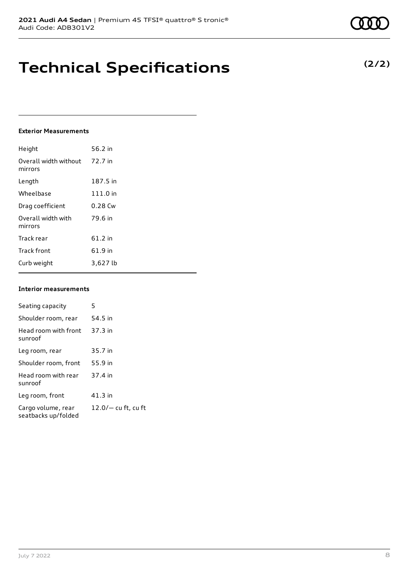## **Technical Specifications**

#### **Exterior Measurements**

| Height                           | 56.2 in  |
|----------------------------------|----------|
| Overall width without<br>mirrors | 72.7 in  |
| Length                           | 187.5 in |
| Wheelbase                        | 111.0 in |
| Drag coefficient                 | 0.28 Cw  |
| Overall width with<br>mirrors    | 79.6 in  |
| Track rear                       | 61.2 in  |
| <b>Track front</b>               | 61.9 in  |
| Curb weight                      | 3,627 lb |

#### **Interior measurements**

| Seating capacity                          | 5                   |
|-------------------------------------------|---------------------|
| Shoulder room, rear                       | 54.5 in             |
| Head room with front<br>sunroof           | 37.3 in             |
| Leg room, rear                            | 35.7 in             |
| Shoulder room. front                      | 55.9 in             |
| Head room with rear<br>sunroof            | 37.4 in             |
| Leg room, front                           | 41.3 in             |
| Cargo volume, rear<br>seatbacks up/folded | 12.0/- cu ft, cu ft |



**(2/2)**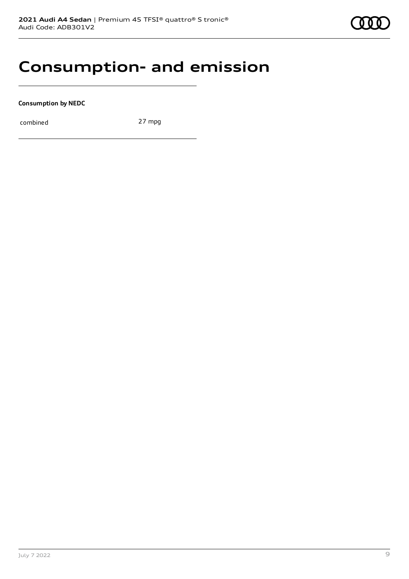

## **Consumption- and emission**

**Consumption by NEDC**

combined 27 mpg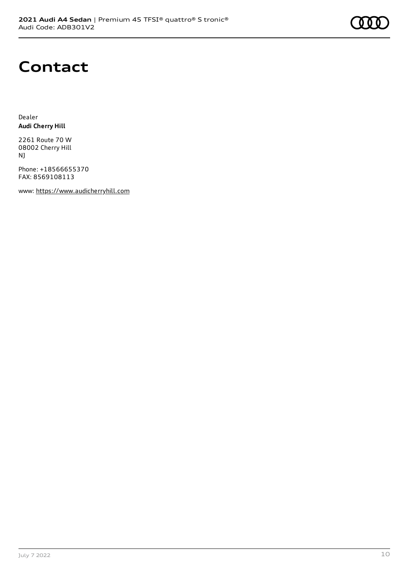

## **Contact**

Dealer **Audi Cherry Hill**

2261 Route 70 W 08002 Cherry Hill NJ

Phone: +18566655370 FAX: 8569108113

www: [https://www.audicherryhill.com](https://www.audicherryhill.com/)